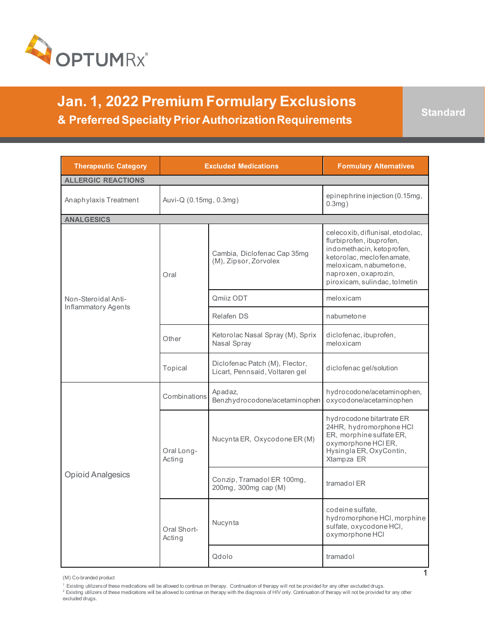

**Jan. 1, 2022 Premium Formulary Exclusions & Preferred Specialty Prior Authorization Requirements and Standard** 

1

| <b>Therapeutic Category</b> | <b>Excluded Medications</b> |                                                                  | <b>Formulary Alternatives</b>                                                                                                                                                                             |
|-----------------------------|-----------------------------|------------------------------------------------------------------|-----------------------------------------------------------------------------------------------------------------------------------------------------------------------------------------------------------|
| <b>ALLERGIC REACTIONS</b>   |                             |                                                                  |                                                                                                                                                                                                           |
| Anaphylaxis Treatment       | Auvi-Q (0.15mg, 0.3mg)      |                                                                  | epinephrine injection (0.15mg,<br>$0.3$ mg $)$                                                                                                                                                            |
| <b>ANALGESICS</b>           |                             |                                                                  |                                                                                                                                                                                                           |
|                             | Oral                        | Cambia, Diclofenac Cap 35mq<br>(M), Zipsor, Zorvolex             | celecoxib, diflunisal, etodolac,<br>flurbiprofen, ibuprofen,<br>indomethacin, ketoprofen,<br>ketorolac, meclofenamate,<br>meloxicam, nabumetone,<br>naproxen, oxaprozin,<br>piroxicam, sulindac, tolmetin |
| Non-Steroidal Anti-         |                             | Qmiiz ODT                                                        | meloxicam                                                                                                                                                                                                 |
| <b>Inflammatory Agents</b>  |                             | Relafen DS                                                       | nabumetone                                                                                                                                                                                                |
|                             | Other                       | Ketorolac Nasal Spray (M), Sprix<br>Nasal Spray                  | diclofenac, ibuprofen,<br>meloxicam                                                                                                                                                                       |
|                             | Topical                     | Diclofenac Patch (M), Flector,<br>Licart, Pennsaid, Voltaren gel | diclofenac gel/solution                                                                                                                                                                                   |
| <b>Opioid Analgesics</b>    | Combinations                | Apadaz,<br>Benzhydrocodone/acetaminophen                         | hydrocodone/acetaminophen,<br>oxycodone/acetaminophen                                                                                                                                                     |
|                             | Oral Long-<br>Acting        | Nucynta ER, Oxycodone ER (M)                                     | hydrocodone bitartrate ER<br>24HR, hydromorphone HCI<br>ER, morphine sulfate ER,<br>oxymorphone HCI ER,<br>Hysingla ER, OxyContin,<br>Xtampza ER                                                          |
|                             |                             | Conzip, Tramadol ER 100mg,<br>200mg, 300mg cap (M)               | tramadol ER                                                                                                                                                                                               |
|                             | Oral Short-<br>Acting       | Nucynta                                                          | codeine sulfate,<br>hydromorphone HCI, morphine<br>sulfate, oxycodone HCI,<br>oxymorphone HCI                                                                                                             |
|                             |                             | Qdolo                                                            | tramadol                                                                                                                                                                                                  |

(M) Co-branded product

excluded drugs.

<sup>&</sup>lt;sup>1</sup> Existing utilizersof these medications wil be allowed to continue on therapy. Continuation of therapy will not be provided for any other excluded drugs.<br><sup>2</sup> Existing utilizers of these medications will be allowed to c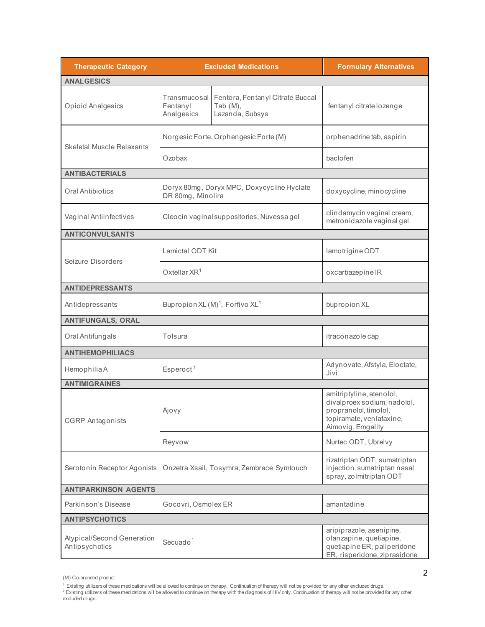| <b>Therapeutic Category</b>                  |                                                         | <b>Excluded Medications</b>                                        | <b>Formulary Alternatives</b>                                                                                                     |
|----------------------------------------------|---------------------------------------------------------|--------------------------------------------------------------------|-----------------------------------------------------------------------------------------------------------------------------------|
| <b>ANALGESICS</b>                            |                                                         |                                                                    |                                                                                                                                   |
| Opioid Analgesics                            | Transmucosal<br>Fentanyl<br>Analgesics                  | Fentora, Fentanyl Citrate Buccal<br>Tab $(M)$ ,<br>Lazanda, Subsys | fentanyl citrate lozenge                                                                                                          |
| <b>Skeletal Muscle Relaxants</b>             |                                                         | Norgesic Forte, Orphengesic Forte (M)                              | orphenadrine tab, aspirin                                                                                                         |
|                                              | Ozobax                                                  |                                                                    | baclofen                                                                                                                          |
| <b>ANTIBACTERIALS</b>                        |                                                         |                                                                    |                                                                                                                                   |
| Oral Antibiotics                             | DR 80mg, Minolira                                       | Doryx 80mg, Doryx MPC, Doxycycline Hyclate                         | doxycycline, minocycline                                                                                                          |
| Vaginal Antiinfectives                       |                                                         | Cleocin vaginal suppositories, Nuvessa gel                         | clindamycin vaginal cream,<br>metronidazole vaginal gel                                                                           |
| <b>ANTICONVULSANTS</b>                       |                                                         |                                                                    |                                                                                                                                   |
| Seizure Disorders                            | Lamictal ODT Kit                                        |                                                                    | lamotrigine ODT                                                                                                                   |
|                                              | Oxtellar $XR^1$                                         |                                                                    | oxcarbazepine IR                                                                                                                  |
| <b>ANTIDEPRESSANTS</b>                       |                                                         |                                                                    |                                                                                                                                   |
| Antidepressants                              | Bupropion XL (M) <sup>1</sup> , Forfivo XL <sup>1</sup> |                                                                    | bupropion XL                                                                                                                      |
| <b>ANTIFUNGALS, ORAL</b>                     |                                                         |                                                                    |                                                                                                                                   |
| Oral Antifungals                             | Tolsura                                                 |                                                                    | itraconazole cap                                                                                                                  |
| <b>ANTIHEMOPHILIACS</b>                      |                                                         |                                                                    |                                                                                                                                   |
| Hemophilia A                                 | Esperoct <sup>1</sup>                                   |                                                                    | Adynovate, Afstyla, Eloctate,<br>Jivi                                                                                             |
| <b>ANTIMIGRAINES</b>                         |                                                         |                                                                    |                                                                                                                                   |
| <b>CGRP</b> Antagonists                      | Ajovy                                                   |                                                                    | amitriptyline, atenolol,<br>divalproex sodium, nadolol,<br>propranolol, timolol,<br>topiramate, venlafaxine,<br>Aimovig, Emgality |
|                                              | Reyvow                                                  |                                                                    | Nurtec ODT, Ubrelvy                                                                                                               |
| Serotonin Receptor Agonists                  |                                                         | Onzetra Xsail, Tosymra, Zembrace Symtouch                          | rizatriptan ODT, sumatriptan<br>injection, sumatriptan nasal<br>spray, zolmitriptan ODT                                           |
| <b>ANTIPARKINSON AGENTS</b>                  |                                                         |                                                                    |                                                                                                                                   |
| Parkinson's Disease                          | Gocovri, Osmolex ER                                     |                                                                    | amantadine                                                                                                                        |
| <b>ANTIPSYCHOTICS</b>                        |                                                         |                                                                    |                                                                                                                                   |
| Atypical/Second Generation<br>Antipsychotics | Secuado <sup>1</sup>                                    |                                                                    | aripiprazole, asenipine,<br>olanzapine, quetiapine,<br>quetiapine ER, paliperidone<br>ER, risperidone, ziprasidone                |

<sup>(</sup>M) Co-branded product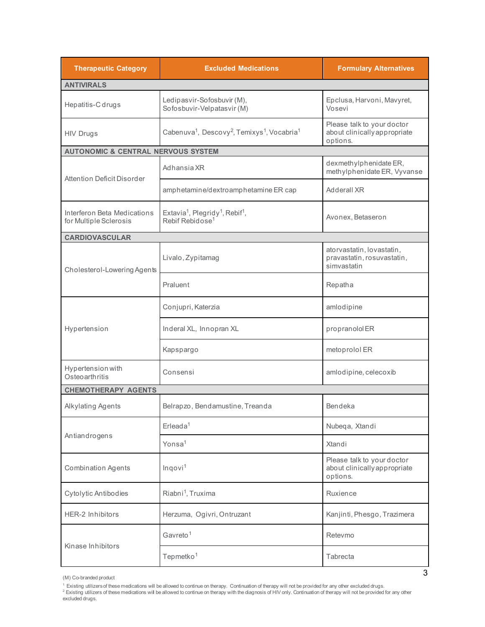| <b>Therapeutic Category</b>                           | <b>Excluded Medications</b>                                                                        | <b>Formulary Alternatives</b>                                          |
|-------------------------------------------------------|----------------------------------------------------------------------------------------------------|------------------------------------------------------------------------|
| <b>ANTIVIRALS</b>                                     |                                                                                                    |                                                                        |
| Hepatitis-C drugs                                     | Ledipasvir-Sofosbuvir (M),<br>Sofosbuvir-Velpatasvir (M)                                           | Epclusa, Harvoni, Mavyret,<br>Vosevi                                   |
| <b>HIV Drugs</b>                                      | Cabenuva <sup>1</sup> , Descovy <sup>2</sup> , Temixys <sup>1</sup> , Vocabria <sup>1</sup>        | Please talk to your doctor<br>about clinically appropriate<br>options. |
| <b>AUTONOMIC &amp; CENTRAL NERVOUS SYSTEM</b>         |                                                                                                    |                                                                        |
| Attention Deficit Disorder                            | Adhansia XR                                                                                        | dexmethylphenidate ER,<br>methylphenidate ER, Vyvanse                  |
|                                                       | amphetamine/dextroamphetamine ER cap                                                               | Adderall XR                                                            |
| Interferon Beta Medications<br>for Multiple Sclerosis | Extavia <sup>1</sup> , Plegridy <sup>1</sup> , Rebif <sup>1</sup> ,<br>Rebif Rebidose <sup>1</sup> | Avonex, Betaseron                                                      |
| <b>CARDIOVASCULAR</b>                                 |                                                                                                    |                                                                        |
| Cholesterol-Lowering Agents                           | Livalo, Zypitamag                                                                                  | atorvastatin, lovastatin,<br>pravastatin, rosuvastatin,<br>simvastatin |
|                                                       | Praluent                                                                                           | Repatha                                                                |
|                                                       | Conjupri, Katerzia                                                                                 | amlodipine                                                             |
| Hypertension                                          | Inderal XL, Innopran XL                                                                            | propranololER                                                          |
|                                                       | Kapspargo                                                                                          | metoprolol ER                                                          |
| Hypertension with<br>Osteoarthritis                   | Consensi                                                                                           | amlodipine, celecoxib                                                  |
| <b>CHEMOTHERAPY AGENTS</b>                            |                                                                                                    |                                                                        |
| Alkylating Agents                                     | Belrapzo, Bendamustine, Treanda                                                                    | <b>Bendeka</b>                                                         |
| Antiandrogens                                         | $E$ rleada <sup>1</sup>                                                                            | Nubeqa, Xtandi                                                         |
|                                                       | Yonsa <sup>1</sup>                                                                                 | Xtandi                                                                 |
| <b>Combination Agents</b>                             | Inqovi <sup>1</sup>                                                                                | Please talk to your doctor<br>about clinically appropriate<br>options. |
| Cytolytic Antibodies                                  | Riabni <sup>1</sup> , Truxima                                                                      | Ruxience                                                               |
| <b>HER-2 Inhibitors</b>                               | Herzuma, Ogivri, Ontruzant                                                                         | Kanjinti, Phesgo, Trazimera                                            |
|                                                       | Gavreto <sup>1</sup>                                                                               | Retevmo                                                                |
| Kinase Inhibitors                                     | Tepmetko <sup>1</sup>                                                                              | Tabrecta                                                               |

<sup>(</sup>M) Co-branded product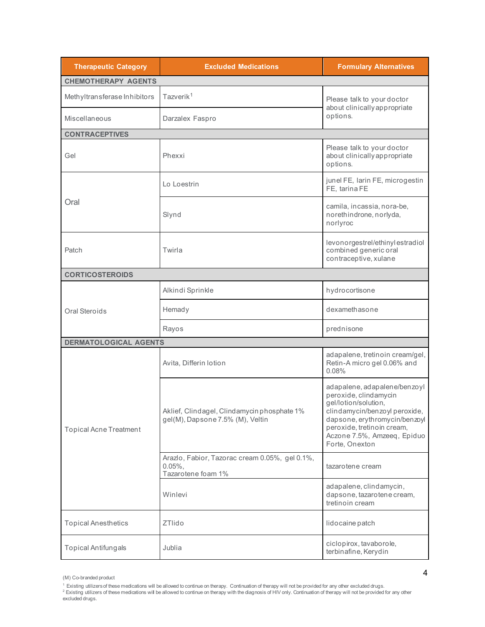| <b>Therapeutic Category</b>   | <b>Excluded Medications</b>                                                        | <b>Formulary Alternatives</b>                                                                                                                                                                                                  |  |
|-------------------------------|------------------------------------------------------------------------------------|--------------------------------------------------------------------------------------------------------------------------------------------------------------------------------------------------------------------------------|--|
| <b>CHEMOTHERAPY AGENTS</b>    |                                                                                    |                                                                                                                                                                                                                                |  |
| Methyltransferase Inhibitors  | Tazverik <sup>1</sup>                                                              | Please talk to your doctor                                                                                                                                                                                                     |  |
| Miscellaneous                 | Darzalex Faspro                                                                    | about clinically appropriate<br>options.                                                                                                                                                                                       |  |
| <b>CONTRACEPTIVES</b>         |                                                                                    |                                                                                                                                                                                                                                |  |
| Gel                           | Phexxi                                                                             | Please talk to your doctor<br>about clinically appropriate<br>options.                                                                                                                                                         |  |
|                               | Lo Loestrin                                                                        | junel FE, Iarin FE, microgestin<br>FE, tarina FE                                                                                                                                                                               |  |
| Oral                          | Slynd                                                                              | camila, incassia, nora-be,<br>norethindrone, norlyda,<br>norlyroc                                                                                                                                                              |  |
| Patch                         | Twirla                                                                             | levonorgestrel/ethinylestradiol<br>combined generic oral<br>contraceptive, xulane                                                                                                                                              |  |
| <b>CORTICOSTEROIDS</b>        |                                                                                    |                                                                                                                                                                                                                                |  |
|                               | Alkindi Sprinkle                                                                   | hydrocortisone                                                                                                                                                                                                                 |  |
| Oral Steroids                 | Hemady                                                                             | dexamethasone                                                                                                                                                                                                                  |  |
|                               | Rayos                                                                              | prednisone                                                                                                                                                                                                                     |  |
| <b>DERMATOLOGICAL AGENTS</b>  |                                                                                    |                                                                                                                                                                                                                                |  |
|                               | Avita, Differin lotion                                                             | adapalene, tretinoin cream/gel,<br>Retin-A micro gel 0.06% and<br>0.08%                                                                                                                                                        |  |
| <b>Topical Acne Treatment</b> | Aklief, Clindagel, Clindamycin phosphate 1%<br>gel(M), Dapsone 7.5% (M), Veltin    | adapalene, adapalene/benzoyl<br>peroxide, clindamycin<br>gel/lotion/solution,<br>clindamycin/benzoyl peroxide,<br>dapsone, erythromycin/benzoyl<br>peroxide, tretinoin cream,<br>Aczone 7.5%, Amzeeq, Epiduo<br>Forte, Onexton |  |
|                               | Arazlo, Fabior, Tazorac cream 0.05%, gel 0.1%,<br>$0.05\%$ .<br>Tazarotene foam 1% | tazarotene cream                                                                                                                                                                                                               |  |
|                               | Winlevi                                                                            | adapalene, clindamycin,<br>dapsone, tazarotene cream,<br>tretinoin cream                                                                                                                                                       |  |
| <b>Topical Anesthetics</b>    | <b>ZTlido</b>                                                                      | lidocaine patch                                                                                                                                                                                                                |  |
| <b>Topical Antifungals</b>    | Jublia                                                                             | ciclopirox, tavaborole,<br>terbinafine, Kerydin                                                                                                                                                                                |  |

<sup>(</sup>M) Co-branded product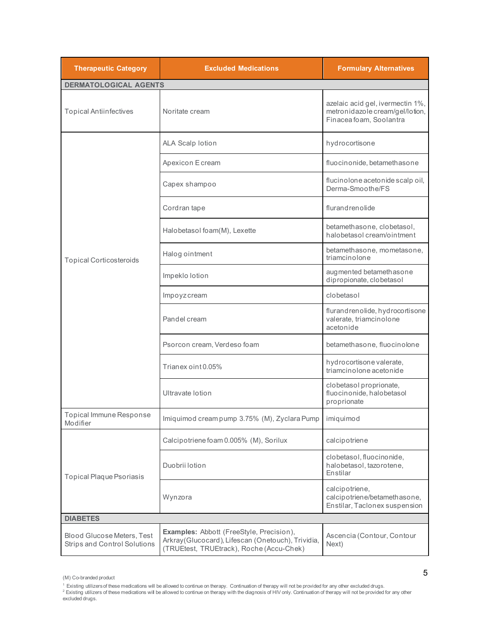| <b>Therapeutic Category</b>                                              | <b>Excluded Medications</b>                                                                                                                | <b>Formulary Alternatives</b>                                                                  |
|--------------------------------------------------------------------------|--------------------------------------------------------------------------------------------------------------------------------------------|------------------------------------------------------------------------------------------------|
| <b>DERMATOLOGICAL AGENTS</b>                                             |                                                                                                                                            |                                                                                                |
| <b>Topical Antiinfectives</b>                                            | Noritate cream                                                                                                                             | azelaic acid gel, ivermectin 1%,<br>metronidazole cream/gel/lotion,<br>Finacea foam, Soolantra |
|                                                                          | <b>ALA Scalp lotion</b>                                                                                                                    | hydrocortisone                                                                                 |
|                                                                          | Apexicon Ecream                                                                                                                            | fluocinonide, betamethasone                                                                    |
|                                                                          | Capex shampoo                                                                                                                              | flucinolone acetonide scalp oil,<br>Derma-Smoothe/FS                                           |
|                                                                          | Cordran tape                                                                                                                               | flurandrenolide                                                                                |
|                                                                          | Halobetasol foam(M), Lexette                                                                                                               | betamethasone, clobetasol,<br>halobetasol cream/ointment                                       |
| <b>Topical Corticosteroids</b>                                           | Halog ointment                                                                                                                             | betamethasone, mometasone,<br>triamcinolone                                                    |
|                                                                          | Impeklo lotion                                                                                                                             | augmented betamethasone<br>dipropionate, clobetasol                                            |
|                                                                          | Impoyzcream                                                                                                                                | clobetasol                                                                                     |
|                                                                          | Pandel cream                                                                                                                               | flurandrenolide, hydrocortisone<br>valerate, triamcinolone<br>acetonide                        |
|                                                                          | Psorcon cream, Verdeso foam                                                                                                                | betamethasone, fluocinolone                                                                    |
|                                                                          | Trianex oint 0.05%                                                                                                                         | hydrocortisone valerate,<br>triamcinolone acetonide                                            |
|                                                                          | Ultravate lotion                                                                                                                           | clobetasol proprionate,<br>fluocinonide, halobetasol<br>proprionate                            |
| Topical Immune Response<br>Modifier                                      | Imiquimod cream pump 3.75% (M), Zyclara Pump                                                                                               | imiquimod                                                                                      |
|                                                                          | Calcipotriene foam 0.005% (M), Sorilux                                                                                                     | calcipotriene                                                                                  |
| Topical Plaque Psoriasis                                                 | Duobrii lotion                                                                                                                             | clobetasol, fluocinonide,<br>halobetasol, tazorotene,<br>Enstilar                              |
|                                                                          | Wynzora                                                                                                                                    | calcipotriene,<br>calcipotriene/betamethasone,<br>Enstilar, Taclonex suspension                |
| <b>DIABETES</b>                                                          |                                                                                                                                            |                                                                                                |
| <b>Blood Glucose Meters, Test</b><br><b>Strips and Control Solutions</b> | Examples: Abbott (FreeStyle, Precision),<br>Arkray (Glucocard), Lifescan (Onetouch), Trividia,<br>(TRUEtest, TRUEtrack), Roche (Accu-Chek) | Ascencia (Contour, Contour<br>Next)                                                            |

<sup>(</sup>M) Co-branded product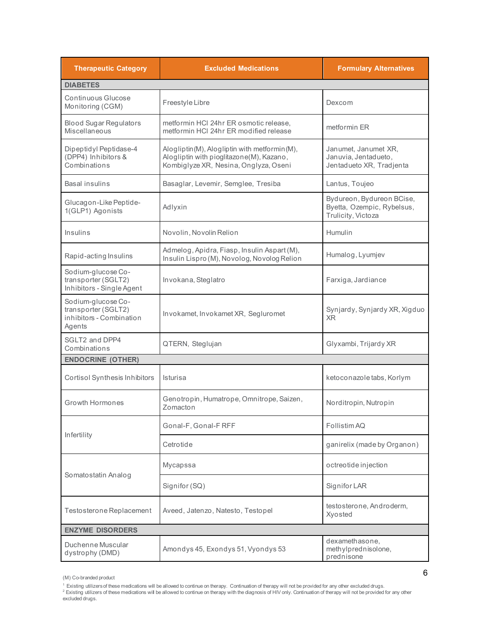| <b>Therapeutic Category</b>                                                     | <b>Excluded Medications</b>                                                                                                       | <b>Formulary Alternatives</b>                                                 |
|---------------------------------------------------------------------------------|-----------------------------------------------------------------------------------------------------------------------------------|-------------------------------------------------------------------------------|
| <b>DIABETES</b>                                                                 |                                                                                                                                   |                                                                               |
| Continuous Glucose<br>Monitoring (CGM)                                          | Freestyle Libre                                                                                                                   | Dexcom                                                                        |
| <b>Blood Sugar Regulators</b><br>Miscellaneous                                  | metformin HCI 24hr ER osmotic release,<br>metformin HCI 24hr ER modified release                                                  | metformin ER                                                                  |
| Dipeptidyl Peptidase-4<br>(DPP4) Inhibitors &<br>Combinations                   | Alogliptin(M), Alogliptin with metformin(M),<br>Alogliptin with pioglitazone(M), Kazano,<br>Kombiglyze XR, Nesina, Onglyza, Oseni | Janumet, Janumet XR,<br>Januvia, Jentadueto,<br>Jentadueto XR, Tradjenta      |
| Basal insulins                                                                  | Basaglar, Levemir, Semglee, Tresiba                                                                                               | Lantus, Toujeo                                                                |
| Glucagon-Like Peptide-<br>1(GLP1) Agonists                                      | Adlyxin                                                                                                                           | Bydureon, Bydureon BCise,<br>Byetta, Ozempic, Rybelsus,<br>Trulicity, Victoza |
| Insulins                                                                        | Novolin, Novolin Relion                                                                                                           | Humulin                                                                       |
| Rapid-acting Insulins                                                           | Admelog, Apidra, Fiasp, Insulin Aspart (M),<br>Insulin Lispro (M), Novolog, Novolog Relion                                        | Humalog, Lyumjev                                                              |
| Sodium-glucose Co-<br>transporter (SGLT2)<br>Inhibitors - Single Agent          | Invokana, Steglatro                                                                                                               | Farxiga, Jardiance                                                            |
| Sodium-glucose Co-<br>transporter (SGLT2)<br>inhibitors - Combination<br>Agents | Invokamet, Invokamet XR, Segluromet                                                                                               | Synjardy, Synjardy XR, Xigduo<br>XR.                                          |
| SGLT2 and DPP4<br>Combinations                                                  | QTERN, Steglujan                                                                                                                  | Glyxambi, Trijardy XR                                                         |
| <b>ENDOCRINE (OTHER)</b>                                                        |                                                                                                                                   |                                                                               |
| <b>Cortisol Synthesis Inhibitors</b>                                            | Isturisa                                                                                                                          | ketoconazole tabs, Korlym                                                     |
| Growth Hormones                                                                 | Genotropin, Humatrope, Omnitrope, Saizen,<br>Zomacton                                                                             | Norditropin, Nutropin                                                         |
|                                                                                 | Gonal-F, Gonal-F RFF                                                                                                              | Follistim AQ                                                                  |
| Infertility                                                                     | Cetrotide                                                                                                                         | ganirelix (made by Organon)                                                   |
|                                                                                 | Mycapssa                                                                                                                          | octreotide injection                                                          |
| Somatostatin Analog                                                             | Signifor (SQ)                                                                                                                     | Signifor LAR                                                                  |
| Testosterone Replacement                                                        | Aveed, Jatenzo, Natesto, Testopel                                                                                                 | testosterone, Androderm,<br>Xyosted                                           |
| <b>ENZYME DISORDERS</b>                                                         |                                                                                                                                   |                                                                               |
| Duchenne Muscular<br>dystrophy (DMD)                                            | Amondys 45, Exondys 51, Vyondys 53                                                                                                | dexamethasone,<br>methylprednisolone,<br>prednisone                           |

<sup>(</sup>M) Co-branded product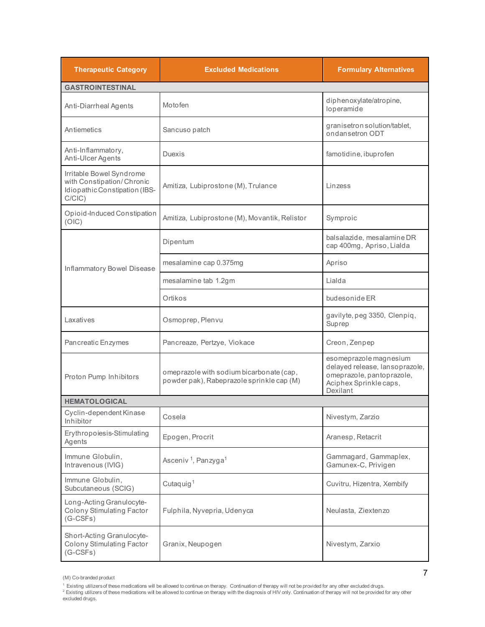| <b>Therapeutic Category</b>                                                                         | <b>Excluded Medications</b>                                                           | <b>Formulary Alternatives</b>                                                                                               |
|-----------------------------------------------------------------------------------------------------|---------------------------------------------------------------------------------------|-----------------------------------------------------------------------------------------------------------------------------|
| <b>GASTROINTESTINAL</b>                                                                             |                                                                                       |                                                                                                                             |
| Anti-Diarrheal Agents                                                                               | Motofen                                                                               | diphenoxylate/atropine,<br>loperamide                                                                                       |
| Antiemetics                                                                                         | Sancuso patch                                                                         | granisetron solution/tablet,<br>ondansetron ODT                                                                             |
| Anti-Inflammatory,<br>Anti-Ulcer Agents                                                             | <b>Duexis</b>                                                                         | famotidine, ibuprofen                                                                                                       |
| Irritable Bowel Syndrome<br>with Constipation/Chronic<br>Idiopathic Constipation (IBS-<br>$C/CIC$ ) | Amitiza, Lubiprostone (M), Trulance                                                   | Linzess                                                                                                                     |
| Opioid-Induced Constipation<br>(OIC)                                                                | Amitiza, Lubiprostone (M), Movantik, Relistor                                         | Symproic                                                                                                                    |
|                                                                                                     | Dipentum                                                                              | balsalazide, mesalamine DR<br>cap 400mg, Apriso, Lialda                                                                     |
| Inflammatory Bowel Disease                                                                          | mesalamine cap 0.375mg                                                                | Apriso                                                                                                                      |
|                                                                                                     | mesalamine tab 1.2gm                                                                  | Lialda                                                                                                                      |
|                                                                                                     | Ortikos                                                                               | budesonide ER                                                                                                               |
| Laxatives                                                                                           | Osmoprep, Plenvu                                                                      | gavilyte, peg 3350, Clenpiq,<br>Suprep                                                                                      |
| Pancreatic Enzymes                                                                                  | Pancreaze, Pertzye, Viokace                                                           | Creon, Zenpep                                                                                                               |
| Proton Pump Inhibitors                                                                              | omeprazole with sodium bicarbonate (cap,<br>powder pak), Rabeprazole sprinkle cap (M) | esomeprazole magnesium<br>delayed release, lansoprazole,<br>omeprazole, pantoprazole,<br>Aciphex Sprinkle caps,<br>Dexilant |
| <b>HEMATOLOGICAL</b>                                                                                |                                                                                       |                                                                                                                             |
| Cyclin-dependent Kinase<br>Inhibitor                                                                | Cosela                                                                                | Nivestym, Zarzio                                                                                                            |
| Erythropoiesis-Stimulating<br>Agents                                                                | Epogen, Procrit                                                                       | Aranesp, Retacrit                                                                                                           |
| Immune Globulin,<br>Intravenous (IVIG)                                                              | Asceniv <sup>1</sup> , Panzyga <sup>1</sup>                                           | Gammagard, Gammaplex,<br>Gamunex-C, Privigen                                                                                |
| Immune Globulin,<br>Subcutaneous (SCIG)                                                             | Cutaquig <sup>1</sup>                                                                 | Cuvitru, Hizentra, Xembify                                                                                                  |
| Long-Acting Granulocyte-<br>Colony Stimulating Factor<br>$(G-CSFs)$                                 | Fulphila, Nyvepria, Udenyca                                                           | Neulasta, Ziextenzo                                                                                                         |
| Short-Acting Granulocyte-<br>Colony Stimulating Factor<br>$(G-CSFs)$                                | Granix, Neupogen                                                                      | Nivestym, Zarxio                                                                                                            |

<sup>(</sup>M) Co-branded product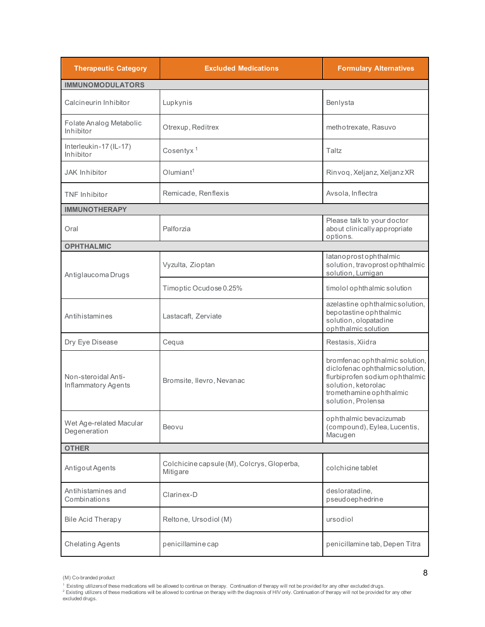| <b>Therapeutic Category</b>                | <b>Excluded Medications</b>                            | <b>Formulary Alternatives</b>                                                                                                                                               |  |
|--------------------------------------------|--------------------------------------------------------|-----------------------------------------------------------------------------------------------------------------------------------------------------------------------------|--|
| <b>IMMUNOMODULATORS</b>                    |                                                        |                                                                                                                                                                             |  |
| Calcineurin Inhibitor                      | Lupkynis                                               | Benlysta                                                                                                                                                                    |  |
| Folate Analog Metabolic<br>Inhibitor       | Otrexup, Reditrex                                      | methotrexate, Rasuvo                                                                                                                                                        |  |
| Interleukin-17 (IL-17)<br>Inhibitor        | Cosentyx <sup>1</sup>                                  | Taltz                                                                                                                                                                       |  |
| <b>JAK Inhibitor</b>                       | Olumiant <sup>1</sup>                                  | Rinvoq, Xeljanz, Xeljanz XR                                                                                                                                                 |  |
| TNF Inhibitor                              | Remicade, Renflexis                                    | Avsola, Inflectra                                                                                                                                                           |  |
| <b>IMMUNOTHERAPY</b>                       |                                                        |                                                                                                                                                                             |  |
| Oral                                       | Palforzia                                              | Please talk to your doctor<br>about clinically appropriate<br>options.                                                                                                      |  |
| <b>OPHTHALMIC</b>                          |                                                        |                                                                                                                                                                             |  |
| Antiglaucoma Drugs                         | Vyzulta, Zioptan                                       | latanoprostophthalmic<br>solution, travoprost ophthalmic<br>solution, Lumigan                                                                                               |  |
|                                            | Timoptic Ocudose 0.25%                                 | timolol ophthalmic solution                                                                                                                                                 |  |
| Antihistamines                             | Lastacaft, Zerviate                                    | azelastine ophthalmicsolution,<br>bepotastine ophthalmic<br>solution, olopatadine<br>ophthalmic solution                                                                    |  |
| Dry Eye Disease                            | Cequa                                                  | Restasis, Xiidra                                                                                                                                                            |  |
| Non-steroidal Anti-<br>Inflammatory Agents | Bromsite, Ilevro, Nevanac                              | bromfenac ophthalmic solution,<br>diclofenac ophthalmic solution,<br>flurbiprofen sodium ophthalmic<br>solution, ketorolac<br>tromethamine ophthalmic<br>solution, Prolensa |  |
| Wet Age-related Macular<br>Degeneration    | Beovu                                                  | ophthalmic bevacizumab<br>(compound), Eylea, Lucentis,<br>Macugen                                                                                                           |  |
| <b>OTHER</b>                               |                                                        |                                                                                                                                                                             |  |
| Antigout Agents                            | Colchicine capsule (M), Colcrys, Gloperba,<br>Mitigare | colchicine tablet                                                                                                                                                           |  |
| Antihistamines and<br>Combinations         | Clarinex-D                                             | desloratadine,<br>pseudoephedrine                                                                                                                                           |  |
| <b>Bile Acid Therapy</b>                   | Reltone, Ursodiol (M)                                  | ursodiol                                                                                                                                                                    |  |
| <b>Chelating Agents</b>                    | penicillamine cap                                      | penicillamine tab, Depen Titra                                                                                                                                              |  |

<sup>(</sup>M) Co-branded product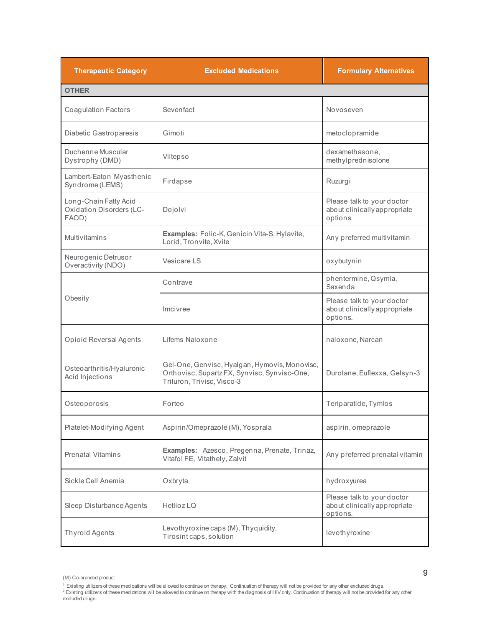| <b>Therapeutic Category</b>                                       | <b>Excluded Medications</b>                                                                                                 | <b>Formulary Alternatives</b>                                          |
|-------------------------------------------------------------------|-----------------------------------------------------------------------------------------------------------------------------|------------------------------------------------------------------------|
| <b>OTHER</b>                                                      |                                                                                                                             |                                                                        |
| <b>Coagulation Factors</b>                                        | Sevenfact                                                                                                                   | Novoseven                                                              |
| Diabetic Gastroparesis                                            | Gimoti                                                                                                                      | metoclopramide                                                         |
| Duchenne Muscular<br>Dystrophy (DMD)                              | Viltepso                                                                                                                    | dexamethasone.<br>methylprednisolone                                   |
| Lambert-Eaton Myasthenic<br>Syndrome (LEMS)                       | Firdapse                                                                                                                    | Ruzurgi                                                                |
| Long-Chain Fatty Acid<br><b>Oxidation Disorders (LC-</b><br>FAOD) | Dojolvi                                                                                                                     | Please talk to your doctor<br>about clinically appropriate<br>options. |
| <b>Multivitamins</b>                                              | Examples: Folic-K, Genicin Vita-S, Hylavite,<br>Lorid, Tronvite, Xvite                                                      | Any preferred multivitamin                                             |
| Neurogenic Detrusor<br>Overactivity (NDO)                         | Vesicare LS                                                                                                                 | oxybutynin                                                             |
|                                                                   | Contrave                                                                                                                    | phentermine, Qsymia,<br>Saxenda                                        |
| Obesity                                                           | Imcivree                                                                                                                    | Please talk to your doctor<br>about clinically appropriate<br>options. |
| <b>Opioid Reversal Agents</b>                                     | Lifems Naloxone                                                                                                             | naloxone, Narcan                                                       |
| Osteo arthritis/Hyaluronic<br>Acid Injections                     | Gel-One, Genvisc, Hyalgan, Hymovis, Monovisc,<br>Orthovisc, Supartz FX, Synvisc, Synvisc-One,<br>Triluron, Trivisc, Visco-3 | Durolane, Euflexxa, Gelsyn-3                                           |
| Osteoporosis                                                      | Forteo                                                                                                                      | Teriparatide, Tymlos                                                   |
| Platelet-Modifying Agent                                          | Aspirin/Omeprazole (M), Yosprala                                                                                            | aspirin, omeprazole                                                    |
| Prenatal Vitamins                                                 | Examples: Azesco, Pregenna, Prenate, Trinaz,<br>Vitafol FE, Vitathely, Zalvit                                               | Any preferred prenatal vitamin                                         |
| Sickle Cell Anemia                                                | Oxbryta                                                                                                                     | hydroxyurea                                                            |
| Sleep Disturbance Agents                                          | Hetlioz LQ                                                                                                                  | Please talk to your doctor<br>about clinically appropriate<br>options. |
| Thyroid Agents                                                    | Levothyroxine caps (M), Thyquidity,<br>Tirosint caps, solution                                                              | levothyroxine                                                          |

<sup>(</sup>M) Co-branded product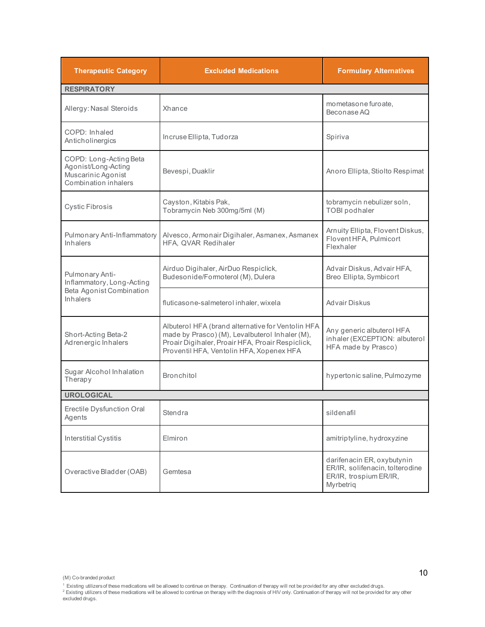| <b>Therapeutic Category</b>                                                                 | <b>Excluded Medications</b>                                                                                                                                                                         | <b>Formulary Alternatives</b>                                                                        |  |
|---------------------------------------------------------------------------------------------|-----------------------------------------------------------------------------------------------------------------------------------------------------------------------------------------------------|------------------------------------------------------------------------------------------------------|--|
| <b>RESPIRATORY</b>                                                                          |                                                                                                                                                                                                     |                                                                                                      |  |
| Allergy: Nasal Steroids                                                                     | Xhance                                                                                                                                                                                              | mometasone furoate,<br>Beconase AQ                                                                   |  |
| COPD: Inhaled<br>Anticholinergics                                                           | Incruse Ellipta, Tudorza                                                                                                                                                                            | Spiriva                                                                                              |  |
| COPD: Long-Acting Beta<br>Agonist/Long-Acting<br>Muscarinic Agonist<br>Combination inhalers | Bevespi, Duaklir                                                                                                                                                                                    | Anoro Ellipta, Stiolto Respimat                                                                      |  |
| Cystic Fibrosis                                                                             | Cayston, Kitabis Pak,<br>Tobramycin Neb 300mg/5ml (M)                                                                                                                                               | tobramycin nebulizer soln,<br><b>TOBI</b> podhaler                                                   |  |
| Pulmonary Anti-Inflammatory<br><b>Inhalers</b>                                              | Alvesco, Armonair Digihaler, Asmanex, Asmanex<br>HFA, QVAR Redihaler                                                                                                                                | Arnuity Ellipta, Flovent Diskus,<br>Flovent HFA, Pulmicort<br>Flexhaler                              |  |
| Pulmonary Anti-<br>Inflammatory, Long-Acting<br>Beta Agonist Combination<br><b>Inhalers</b> | Airduo Digihaler, AirDuo Respiclick,<br>Budesonide/Formoterol (M), Dulera                                                                                                                           | Advair Diskus, Advair HFA,<br>Breo Ellipta, Symbicort                                                |  |
|                                                                                             | fluticasone-salmeterol inhaler, wixela                                                                                                                                                              | Advair Diskus                                                                                        |  |
| Short-Acting Beta-2<br>Adrenergic Inhalers                                                  | Albuterol HFA (brand alternative for Ventolin HFA<br>made by Prasco) (M), Levalbuterol Inhaler (M),<br>Proair Digihaler, Proair HFA, Proair Respiclick,<br>Proventil HFA, Ventolin HFA, Xopenex HFA | Any generic albuterol HFA<br>inhaler (EXCEPTION: albuterol<br>HFA made by Prasco)                    |  |
| Sugar Alcohol Inhalation<br>Therapy                                                         | <b>Bronchitol</b>                                                                                                                                                                                   | hypertonic saline, Pulmozyme                                                                         |  |
| <b>UROLOGICAL</b>                                                                           |                                                                                                                                                                                                     |                                                                                                      |  |
| Erectile Dysfunction Oral<br>Agents                                                         | Stendra                                                                                                                                                                                             | sildenafil                                                                                           |  |
| <b>Interstitial Cystitis</b>                                                                | Elmiron                                                                                                                                                                                             | amitriptyline, hydroxyzine                                                                           |  |
| Overactive Bladder (OAB)                                                                    | Gemtesa                                                                                                                                                                                             | darifenacin ER, oxybutynin<br>ER/IR, solifenacin, tolterodine<br>ER/IR, trospium ER/IR,<br>Myrbetriq |  |

<sup>(</sup>M) Co-branded product

<sup>&</sup>lt;sup>1</sup> Existing utilizersof these medications wil be allowed to continue on therapy. Continuation of therapy will not be provided for any other excluded drugs.<br><sup>2</sup> Existing utilizers of these medications will be allowed to c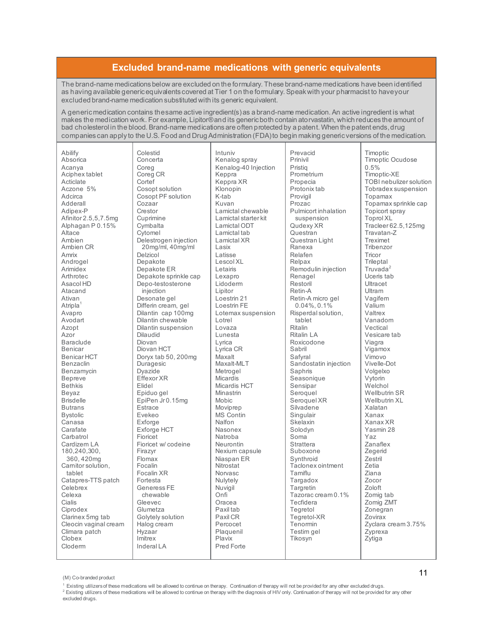## **Excluded brand-name medications with generic equivalents**

The brand-name medications below are excluded on the formulary. These brand-name medications have been identified as having available generic equivalents covered at Tier 1 on the formulary. Speak with your pharmacist to have your excluded brand-name medication substituted with its generic equivalent.

A generic medication contains the same active ingredient(s) as a brand-name medication. An active ingredient is what makes the medication work. For example, Lipitor® and its generic both contain atorvastatin, which reduces the amount of bad cholesterol in the blood. Brand-name medications are often protected by a patent. When the patent ends, drug companies can apply to the U.S. Food and Drug Administration (FDA) to begin making generic versions of the medication.

| Abilify               |
|-----------------------|
|                       |
| Absorica              |
| Acanya                |
| Aciphex tablet        |
| Acticlate             |
| Aczone 5%             |
| Adcirca               |
| Adderall              |
| Adipex-P              |
| Afinitor 2.5,5,7.5mg  |
|                       |
| Alphagan P 0.15%      |
| Altace                |
| Ambien                |
| Ambien CR             |
| Amrix                 |
| Androgel              |
| Arimidex              |
| Arthrotec             |
|                       |
| Asacol HD             |
| Atacand               |
| Ativan                |
| Atripla               |
| Avapro                |
| Avodart               |
| Azopt                 |
| Azor                  |
| Baraclude             |
| Benicar               |
|                       |
| <b>Benicar HCT</b>    |
| Benzaclin             |
| Benzamycin            |
| Bepreve               |
| Bethkis               |
| Beyaz                 |
| <b>Brisdelle</b>      |
| <b>Butrans</b>        |
| <b>Bystolic</b>       |
| Canasa                |
| Carafate              |
|                       |
| Carbatrol             |
| Cardizem LA           |
| 180,240,300,          |
| 360, 420mg            |
| Carnitor solution,    |
| tablet                |
| Catapres-TTS patch    |
| Celebrex              |
| Celexa                |
| Cialis                |
|                       |
| Ciprodex              |
| Clarinex 5mg tab      |
| Cleocin vaginal cream |
| Climara patch         |
| Clobex                |
| Cloderm               |

Colestid Concerta Coreg Coreg CR Cortef Cosopt solution Cosopt PF solution Cozaar Crestor Cuprimine **Cymbalta** Cytomel Delestrogen injection 20mg/ml, 40mg/ml Delzicol Depakote Depakote ER Depakote sprinkle cap Depo-testosterone injection Desonate gel Differin cream, gel Dilantin cap 100mg Dilantin chewable Dilantin suspension Dilaudid Diovan Diovan HCT Doryx tab 50, 200mg Duragesic Dyazide Effexor XR Elidel Epiduo gel EpiPen Jr 0.15mg **Estrace** Evekeo Exforge Exforge HCT Fioricet Fioricet w/ codeine Firazyr Flomax Focalin Focalin XR Fortesta Generess FE chewable Gleevec Glumetza Golytely solution Halog cream **Hyzaar** Imitrex Inderal LA

Intuniv Kenalog spray Kenalog-40 Injection Keppra Keppra XR Klonopin K-tab Kuvan Lamictal chewable Lamictal starter kit Lamictal ODT Lamictal tab Lamictal XR Lasix Latisse Lescol XL Letairis Lexapro Lidoderm Lipitor Loestrin 21 Loestrin FE Lotemax suspension Lotrel Lovaza Lunesta Lyrica Lyrica CR Maxalt Maxalt-MLT Metrogel **Micardis** Micardis HCT Minastrin Mobic Moviprep MS Contin Nalfon Nasonex Natroba Neurontin Nexium capsule Niaspan ER Nitrostat Norvasc Nulytely Nuvigil Onfi Oracea Paxil tab Paxil CR Percocet Plaquenil Plavix Pred Forte

Prevacid Prinivil Pristiq Prometrium Propecia Protonix tab Provigil Prozac Pulmicort inhalation suspension Qudexy XR Questran Questran Light Ranexa Relafen Relpax Remodulin injection Renagel Restoril Retin-A Retin-A micro gel 0.04%, 0.1% Risperdal solution, tablet Ritalin Ritalin LA Roxicodone Sabril Safyral Sandostatin injection Saphris Seasonique Sensipar Seroquel Seroquel XR Silvadene Singulair Skelaxin Solodyn Soma Strattera Suboxone Synthroid Taclonex ointment Tamiflu Targadox **Targretin** Tazorac cream 0.1% Tecfidera Tegretol Tegretol-XR Tenormin Testim gel Tikosyn

Timoptic Timoptic Ocudose 0.5% Timoptic-XE TOBI nebulizer solution Tobradex suspension Topamax Topamax sprinkle cap Topicort spray Toprol XL Tracleer 62.5,125mg Travatan-Z Treximet Tribenzor **Tricor Trileptal** Truvada<sup>2</sup> Uceris tab **Ultracet** Ultram Vagifem Valium Valtrex Vanadom Vectical Vesicare tab Viagra Vigamox Vimovo Vivelle-Dot Volgelxo Vytorin Welchol Wellbutrin SR Wellbutrin XL Xalatan Xanax Xanax XR Yasmin 28 Yaz Zanaflex Zegerid Zestril Zetia Ziana Zocor Zoloft Zomig tab Zomig ZMT Zonegran Zovirax Zyclara cream 3.75% Zyprexa Zytiga

(M) Co-branded product